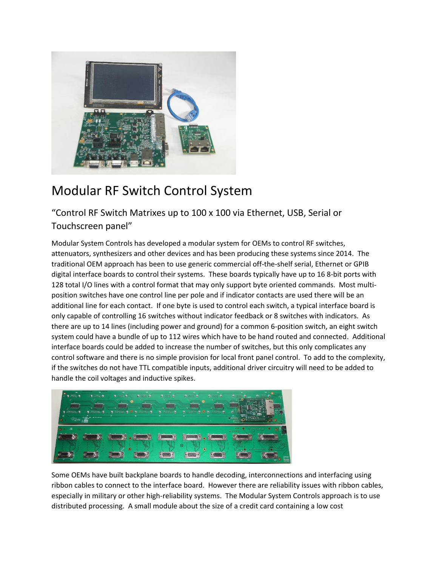

## Modular RF Switch Control System

"Control RF Switch Matrixes up to 100 x 100 via Ethernet, USB, Serial or Touchscreen panel"

Modular System Controls has developed a modular system for OEMs to control RF switches, attenuators, synthesizers and other devices and has been producing these systems since 2014. The traditional OEM approach has been to use generic commercial off-the-shelf serial, Ethernet or GPIB digital interface boards to control their systems. These boards typically have up to 16 8-bit ports with 128 total I/O lines with a control format that may only support byte oriented commands. Most multiposition switches have one control line per pole and if indicator contacts are used there will be an additional line for each contact. If one byte is used to control each switch, a typical interface board is only capable of controlling 16 switches without indicator feedback or 8 switches with indicators. As there are up to 14 lines (including power and ground) for a common 6-position switch, an eight switch system could have a bundle of up to 112 wires which have to be hand routed and connected. Additional interface boards could be added to increase the number of switches, but this only complicates any control software and there is no simple provision for local front panel control. To add to the complexity, if the switches do not have TTL compatible inputs, additional driver circuitry will need to be added to handle the coil voltages and inductive spikes.



Some OEMs have built backplane boards to handle decoding, interconnections and interfacing using ribbon cables to connect to the interface board. However there are reliability issues with ribbon cables, especially in military or other high-reliability systems. The Modular System Controls approach is to use distributed processing. A small module about the size of a credit card containing a low cost